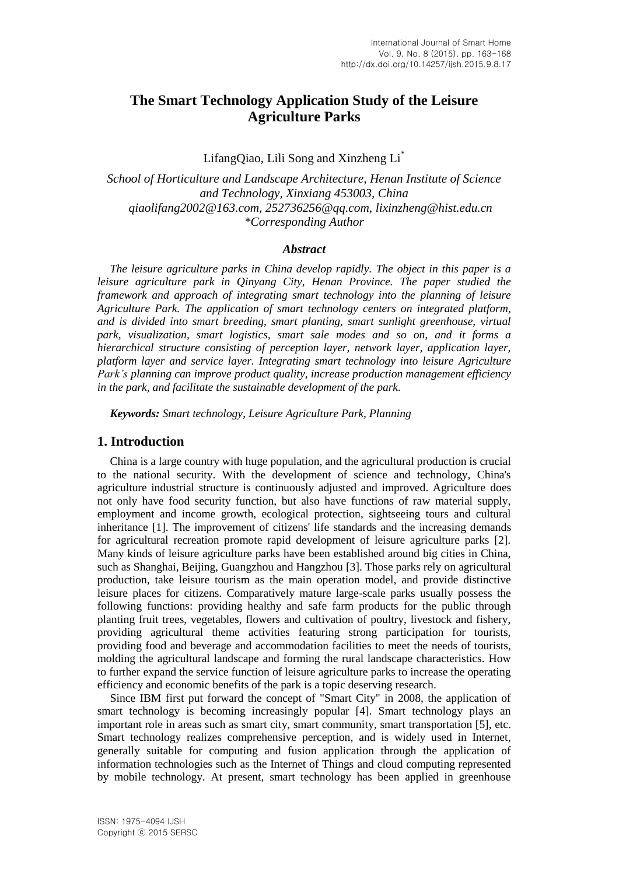# **The Smart Technology Application Study of the Leisure Agriculture Parks**

LifangQiao, Lili Song and Xinzheng Li\*

*School of Horticulture and Landscape Architecture, Henan Institute of Science and Technology, Xinxiang 453003, China qiaolifang2002@163.com, 252736256@qq.com, lixinzheng@hist.edu.cn \*Corresponding Author*

#### *Abstract*

*The leisure agriculture parks in China develop rapidly. The object in this paper is a leisure agriculture park in Qinyang City, Henan Province. The paper studied the framework and approach of integrating smart technology into the planning of leisure Agriculture Park. The application of smart technology centers on integrated platform, and is divided into smart breeding, smart planting, smart sunlight greenhouse, virtual park, visualization, smart logistics, smart sale modes and so on, and it forms a hierarchical structure consisting of perception layer, network layer, application layer, platform layer and service layer. Integrating smart technology into leisure Agriculture Park's planning can improve product quality, increase production management efficiency in the park, and facilitate the sustainable development of the park.*

*Keywords: Smart technology, Leisure Agriculture Park, Planning*

#### **1. Introduction**

China is a large country with huge population, and the agricultural production is crucial to the national security. With the development of science and technology, China's agriculture industrial structure is continuously adjusted and improved. Agriculture does not only have food security function, but also have functions of raw material supply, employment and income growth, ecological protection, sightseeing tours and cultural inheritance [1]. The improvement of citizens' life standards and the increasing demands for agricultural recreation promote rapid development of leisure agriculture parks [2]. Many kinds of leisure agriculture parks have been established around big cities in China, such as Shanghai, Beijing, Guangzhou and Hangzhou [3]. Those parks rely on agricultural production, take leisure tourism as the main operation model, and provide distinctive leisure places for citizens. Comparatively mature large-scale parks usually possess the following functions: providing healthy and safe farm products for the public through planting fruit trees, vegetables, flowers and cultivation of poultry, livestock and fishery, providing agricultural theme activities featuring strong participation for tourists, providing food and beverage and accommodation facilities to meet the needs of tourists, molding the agricultural landscape and forming the rural landscape characteristics. How to further expand the service function of leisure agriculture parks to increase the operating efficiency and economic benefits of the park is a topic deserving research.

Since IBM first put forward the concept of "Smart City" in 2008, the application of smart technology is becoming increasingly popular [4]. Smart technology plays an important role in areas such as smart city, smart community, smart transportation [5], etc. Smart technology realizes comprehensive perception, and is widely used in Internet, generally suitable for computing and fusion application through the application of information technologies such as the Internet of Things and cloud computing represented by mobile technology. At present, smart technology has been applied in greenhouse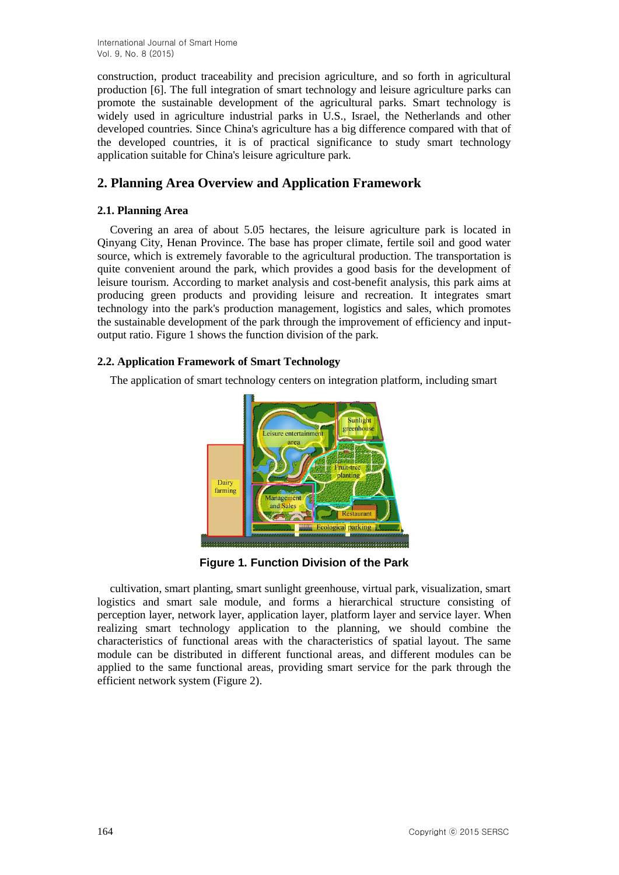International Journal of Smart Home Vol. 9, No. 8 (2015)

construction, product traceability and precision agriculture, and so forth in agricultural production [6]. The full integration of smart technology and leisure agriculture parks can promote the sustainable development of the agricultural parks. Smart technology is widely used in agriculture industrial parks in U.S., Israel, the Netherlands and other developed countries. Since China's agriculture has a big difference compared with that of the developed countries, it is of practical significance to study smart technology application suitable for China's leisure agriculture park.

## **2. Planning Area Overview and Application Framework**

### **2.1. Planning Area**

Covering an area of about 5.05 hectares, the leisure agriculture park is located in Qinyang City, Henan Province. The base has proper climate, fertile soil and good water source, which is extremely favorable to the agricultural production. The transportation is quite convenient around the park, which provides a good basis for the development of leisure tourism. According to market analysis and cost-benefit analysis, this park aims at producing green products and providing leisure and recreation. It integrates smart technology into the park's production management, logistics and sales, which promotes the sustainable development of the park through the improvement of efficiency and inputoutput ratio. Figure 1 shows the function division of the park.

### **2.2. Application Framework of Smart Technology**

The application of smart technology centers on integration platform, including smart



**Figure 1. Function Division of the Park**

cultivation, smart planting, smart sunlight greenhouse, virtual park, visualization, smart logistics and smart sale module, and forms a hierarchical structure consisting of perception layer, network layer, application layer, platform layer and service layer. When realizing smart technology application to the planning, we should combine the characteristics of functional areas with the characteristics of spatial layout. The same module can be distributed in different functional areas, and different modules can be applied to the same functional areas, providing smart service for the park through the efficient network system (Figure 2).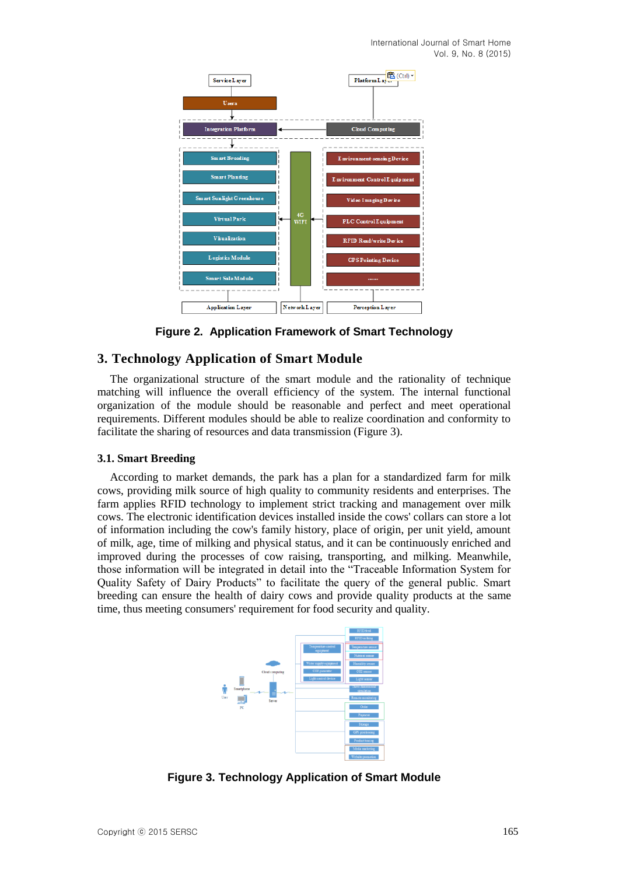

**Figure 2. Application Framework of Smart Technology**

## **3. Technology Application of Smart Module**

The organizational structure of the smart module and the rationality of technique matching will influence the overall efficiency of the system. The internal functional organization of the module should be reasonable and perfect and meet operational requirements. Different modules should be able to realize coordination and conformity to facilitate the sharing of resources and data transmission (Figure 3).

### **3.1. Smart Breeding**

According to market demands, the park has a plan for a standardized farm for milk cows, providing milk source of high quality to community residents and enterprises. The farm applies RFID technology to implement strict tracking and management over milk cows. The electronic identification devices installed inside the cows' collars can store a lot of information including the cow's family history, place of origin, per unit yield, amount of milk, age, time of milking and physical status, and it can be continuously enriched and improved during the processes of cow raising, transporting, and milking. Meanwhile, those information will be integrated in detail into the "Traceable Information System for Quality Safety of Dairy Products" to facilitate the query of the general public. Smart breeding can ensure the health of dairy cows and provide quality products at the same time, thus meeting consumers' requirement for food security and quality.



**Figure 3. Technology Application of Smart Module**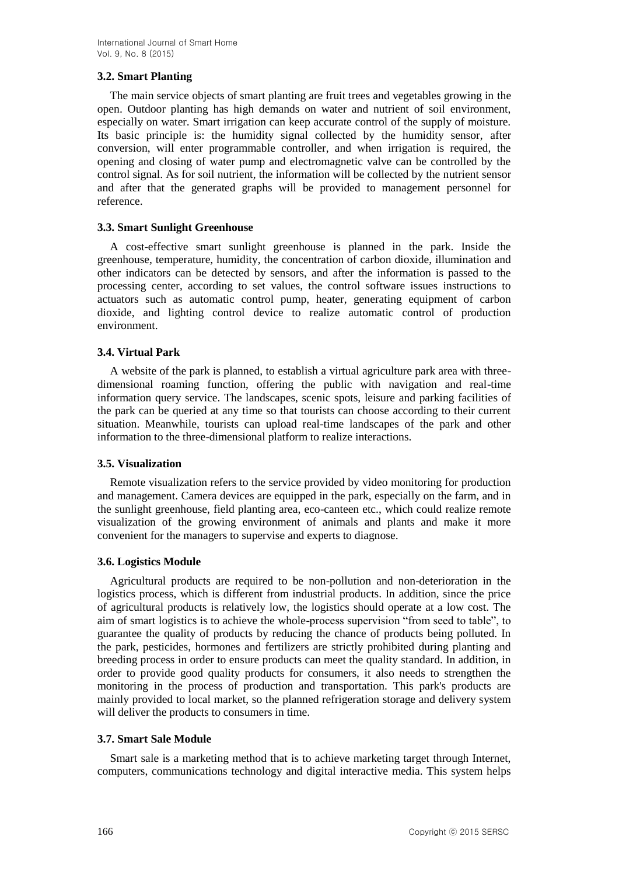## **3.2. Smart Planting**

The main service objects of smart planting are fruit trees and vegetables growing in the open. Outdoor planting has high demands on water and nutrient of soil environment, especially on water. Smart irrigation can keep accurate control of the supply of moisture. Its basic principle is: the humidity signal collected by the humidity sensor, after conversion, will enter programmable controller, and when irrigation is required, the opening and closing of water pump and electromagnetic valve can be controlled by the control signal. As for soil nutrient, the information will be collected by the nutrient sensor and after that the generated graphs will be provided to management personnel for reference.

## **3.3. Smart Sunlight Greenhouse**

A cost-effective smart sunlight greenhouse is planned in the park. Inside the greenhouse, temperature, humidity, the concentration of carbon dioxide, illumination and other indicators can be detected by sensors, and after the information is passed to the processing center, according to set values, the control software issues instructions to actuators such as automatic control pump, heater, generating equipment of carbon dioxide, and lighting control device to realize automatic control of production environment.

## **3.4. Virtual Park**

A website of the park is planned, to establish a virtual agriculture park area with threedimensional roaming function, offering the public with navigation and real-time information query service. The landscapes, scenic spots, leisure and parking facilities of the park can be queried at any time so that tourists can choose according to their current situation. Meanwhile, tourists can upload real-time landscapes of the park and other information to the three-dimensional platform to realize interactions.

### **3.5. Visualization**

Remote visualization refers to the service provided by video monitoring for production and management. Camera devices are equipped in the park, especially on the farm, and in the sunlight greenhouse, field planting area, eco-canteen etc., which could realize remote visualization of the growing environment of animals and plants and make it more convenient for the managers to supervise and experts to diagnose.

### **3.6. Logistics Module**

Agricultural products are required to be non-pollution and non-deterioration in the logistics process, which is different from industrial products. In addition, since the price of agricultural products is relatively low, the logistics should operate at a low cost. The aim of smart logistics is to achieve the whole-process supervision "from seed to table", to guarantee the quality of products by reducing the chance of products being polluted. In the park, pesticides, hormones and fertilizers are strictly prohibited during planting and breeding process in order to ensure products can meet the quality standard. In addition, in order to provide good quality products for consumers, it also needs to strengthen the monitoring in the process of production and transportation. This park's products are mainly provided to local market, so the planned refrigeration storage and delivery system will deliver the products to consumers in time.

### **3.7. Smart Sale Module**

Smart sale is a marketing method that is to achieve marketing target through Internet, computers, communications technology and digital interactive media. This system helps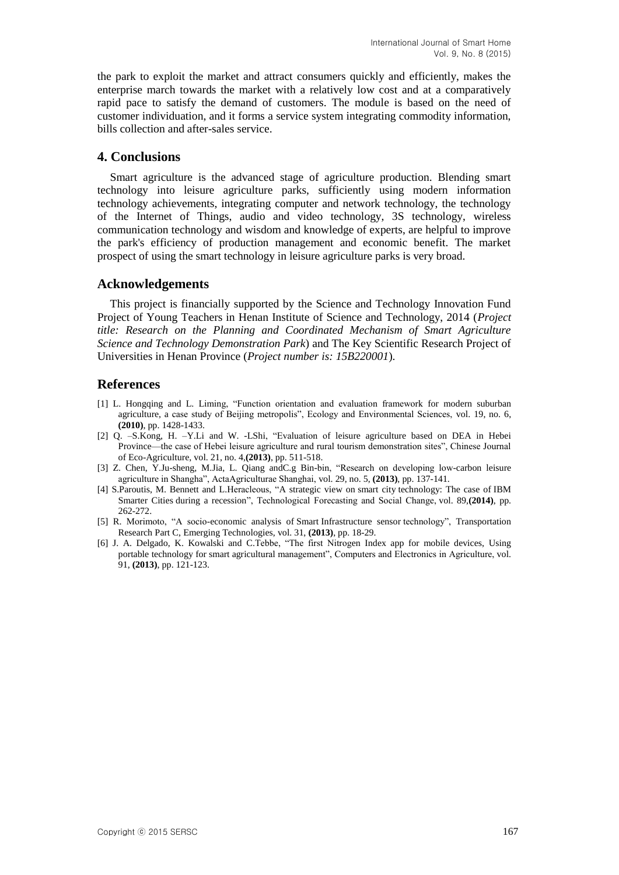the park to exploit the market and attract consumers quickly and efficiently, makes the enterprise march towards the market with a relatively low cost and at a comparatively rapid pace to satisfy the demand of customers. The module is based on the need of customer individuation, and it forms a service system integrating commodity information, bills collection and after-sales service.

## **4. Conclusions**

Smart agriculture is the advanced stage of agriculture production. Blending smart technology into leisure agriculture parks, sufficiently using modern information technology achievements, integrating computer and network technology, the technology of the Internet of Things, audio and video technology, 3S technology, wireless communication technology and wisdom and knowledge of experts, are helpful to improve the park's efficiency of production management and economic benefit. The market prospect of using the smart technology in leisure agriculture parks is very broad.

## **Acknowledgements**

This project is financially supported by the Science and Technology Innovation Fund Project of Young Teachers in Henan Institute of Science and Technology, 2014 (*Project title: Research on the Planning and Coordinated Mechanism of Smart Agriculture Science and Technology Demonstration Park*) and The Key Scientific Research Project of Universities in Henan Province (*Project number is: 15B220001*).

## **References**

- [1] L. Hongqing and L. Liming, "Function orientation and evaluation framework for modern suburban agriculture, a case study of Beijing metropolis", Ecology and Environmental Sciences, vol. 19, no. 6, **(2010)**, pp. 1428-1433.
- [2] Q. –S.Kong, H. –Y.Li and W. -LShi, "Evaluation of leisure agriculture based on DEA in Hebei Province—the case of Hebei leisure agriculture and rural tourism demonstration sites", Chinese Journal of Eco-Agriculture, vol. 21, no. 4,**(2013)**, pp. 511-518.
- [3] Z. Chen, Y.Ju-sheng, M.Jia, L. Qiang andC.g Bin-bin, "Research on developing low-carbon leisure agriculture in Shangha", ActaAgriculturae Shanghai, vol. 29, no. 5, **(2013)**, pp. 137-141.
- [4] S.Paroutis, M. Bennett and L.Heracleous, "A strategic view on smart city [technology: The case of](http://www.sciencedirect.com.ezproxy.scu.edu.au/science/article/pii/S0040162513002266) IBM Smarter Cities [during a recession"](http://www.sciencedirect.com.ezproxy.scu.edu.au/science/article/pii/S0040162513002266), Technological Forecasting and Social Change, vol. 89,**(2014)**, pp. 262-272.
- [5] R. Morimoto, "A socio-economic analysis of Smart Infrastructure sensor technology", Transportation Research Part C, Emerging Technologies, vol. 31, **(2013)**, pp. 18-29.
- [6] J. A. Delgado, K. Kowalski and C.Tebbe, "The first Nitrogen Index app for mobile devices, Using portable technology for smart agricultural management", Computers and Electronics in Agriculture, vol. 91, **(2013)**, pp. 121-123.